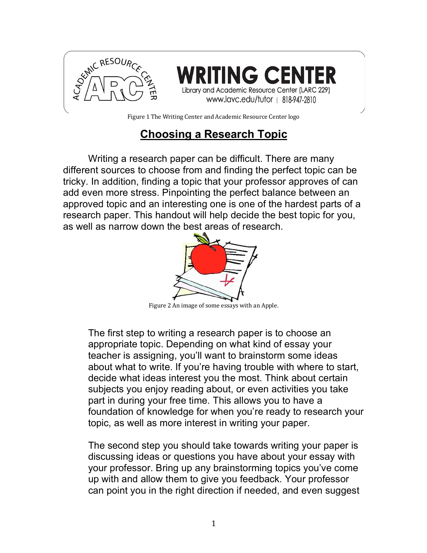

Figure 1 The Writing Center and Academic Resource Center logo

## **Choosing a Research Topic**

Writing a research paper can be difficult. There are many different sources to choose from and finding the perfect topic can be tricky. In addition, finding a topic that your professor approves of can add even more stress. Pinpointing the perfect balance between an approved topic and an interesting one is one of the hardest parts of a research paper. This handout will help decide the best topic for you, as well as narrow down the best areas of research.



Figure 2 An image of some essays with an Apple.

The first step to writing a research paper is to choose an appropriate topic. Depending on what kind of essay your teacher is assigning, you'll want to brainstorm some ideas about what to write. If you're having trouble with where to start, decide what ideas interest you the most. Think about certain subjects you enjoy reading about, or even activities you take part in during your free time. This allows you to have a foundation of knowledge for when you're ready to research your topic, as well as more interest in writing your paper.

The second step you should take towards writing your paper is discussing ideas or questions you have about your essay with your professor. Bring up any brainstorming topics you've come up with and allow them to give you feedback. Your professor can point you in the right direction if needed, and even suggest